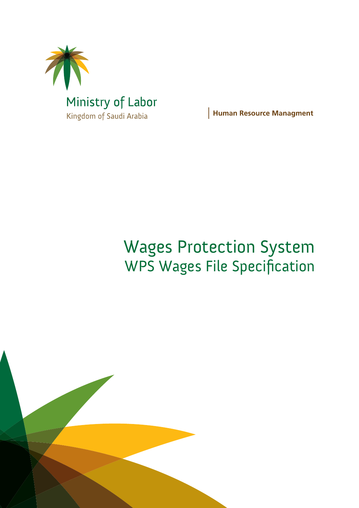

**Human Resource Managment** 

# Wages Protection System WPS Wages File Specification

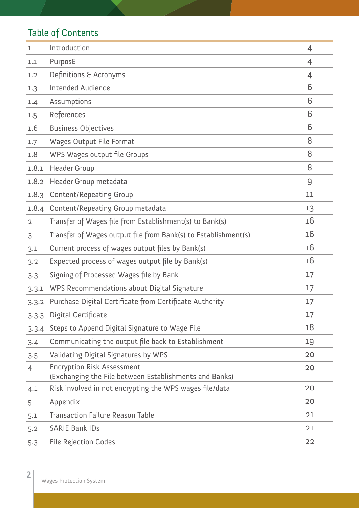# Table of Contents

| ı              | Introduction                                                                                | 4  |
|----------------|---------------------------------------------------------------------------------------------|----|
| 1.1            | PurposE                                                                                     | 4  |
| 1.2            | Definitions & Acronyms                                                                      | 4  |
| 1.3            | <b>Intended Audience</b>                                                                    | 6  |
| 1.4            | Assumptions                                                                                 | 6  |
| 1.5            | References                                                                                  | 6  |
| 1.6            | <b>Business Objectives</b>                                                                  | 6  |
| 1.7            | <b>Wages Output File Format</b>                                                             | 8  |
| 1.8            | WPS Wages output file Groups                                                                | 8  |
| 1.8.1          | <b>Header Group</b>                                                                         | 8  |
| 1.8.2          | Header Group metadata                                                                       | 9  |
| 1.8.3          | <b>Content/Repeating Group</b>                                                              | 11 |
| 1.8.4          | <b>Content/Repeating Group metadata</b>                                                     | 13 |
| $\overline{2}$ | Transfer of Wages file from Establishment(s) to Bank(s)                                     | 16 |
| 3              | Transfer of Wages output file from Bank(s) to Establishment(s)                              | 16 |
| 3.1            | Current process of wages output files by Bank(s)                                            | 16 |
| 3.2            | Expected process of wages output file by Bank(s)                                            | 16 |
| 3.3            | Signing of Processed Wages file by Bank                                                     | 17 |
| 3.3.1          | WPS Recommendations about Digital Signature                                                 | 17 |
| 3.3.2          | Purchase Digital Certificate from Certificate Authority                                     | 17 |
| 3.3.3          | Digital Certificate                                                                         | 17 |
| 3.3.4          | Steps to Append Digital Signature to Wage File                                              | 18 |
| 3.4            | Communicating the output file back to Establishment                                         | 19 |
| 3.5            | Validating Digital Signatures by WPS                                                        | 20 |
| $\overline{4}$ | <b>Encryption Risk Assessment</b><br>(Exchanging the File between Establishments and Banks) | 20 |
| 4.1            | Risk involved in not encrypting the WPS wages file/data                                     | 20 |
| 5              | Appendix                                                                                    | 20 |
| 5.1            | <b>Transaction Failure Reason Table</b>                                                     | 21 |
| 5.2            | <b>SARIE Bank IDs</b>                                                                       | 21 |
| 5.3            | <b>File Rejection Codes</b>                                                                 | 22 |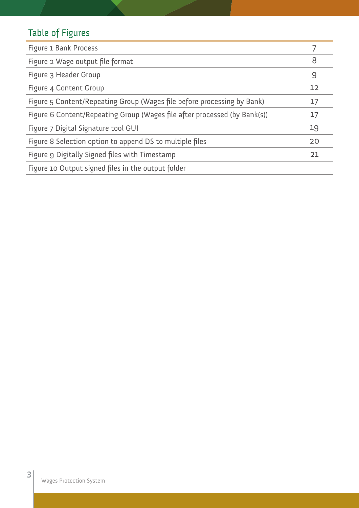# Table of Figures

| Figure 1 Bank Process                                                     |    |
|---------------------------------------------------------------------------|----|
| Figure 2 Wage output file format                                          | 8  |
| Figure 3 Header Group                                                     | 9  |
| Figure 4 Content Group                                                    | 12 |
| Figure 5 Content/Repeating Group (Wages file before processing by Bank)   | 17 |
| Figure 6 Content/Repeating Group (Wages file after processed (by Bank(s)) | 17 |
| Figure 7 Digital Signature tool GUI                                       | 19 |
| Figure 8 Selection option to append DS to multiple files                  | 20 |
| Figure 9 Digitally Signed files with Timestamp                            | 21 |
| Figure 10 Output signed files in the output folder                        |    |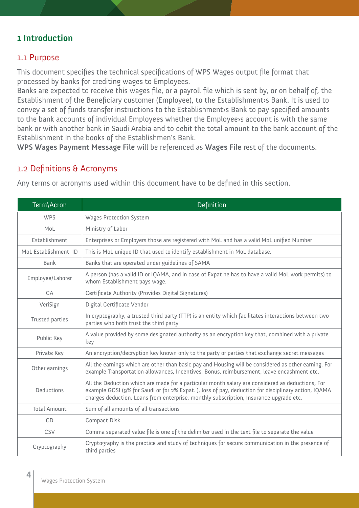#### **1 Introduction**

#### 1.1 Purpose

This document specifies the technical specifications of WPS Wages output file format that processed by banks for crediting wages to Employees.

Banks are expected to receive this wages file, or a payroll file which is sent by, or on behalf of, the Establishment of the Beneficiary customer (Employee), to the Establishment›s Bank. It is used to convey a set of funds transfer instructions to the Establishment›s Bank to pay specified amounts to the bank accounts of individual Employees whether the Employee›s account is with the same bank or with another bank in Saudi Arabia and to debit the total amount to the bank account of the Establishment in the books of the Establishmen's Bank.

**WPS Wages Payment Message File** will be referenced as **Wages File** rest of the documents.

#### 1.2 Definitions & Acronyms

Any terms or acronyms used within this document have to be defined in this section.

| Term\Acron           | <b>Definition</b>                                                                                                                                                                                                                                                                                 |
|----------------------|---------------------------------------------------------------------------------------------------------------------------------------------------------------------------------------------------------------------------------------------------------------------------------------------------|
| <b>WPS</b>           | <b>Wages Protection System</b>                                                                                                                                                                                                                                                                    |
| MoL                  | Ministry of Labor                                                                                                                                                                                                                                                                                 |
| Establishment        | Enterprises or Employers those are registered with MoL and has a valid MoL unified Number                                                                                                                                                                                                         |
| MoL Establishment ID | This is MoL unique ID that used to identify establishment in MoL database.                                                                                                                                                                                                                        |
| <b>Bank</b>          | Banks that are operated under guidelines of SAMA                                                                                                                                                                                                                                                  |
| Employee/Laborer     | A person (has a valid ID or IQAMA, and in case of Expat he has to have a valid MoL work permits) to<br>whom Establishment pays wage.                                                                                                                                                              |
| CA                   | Certificate Authority (Provides Digital Signatures)                                                                                                                                                                                                                                               |
| VeriSign             | Digital Certificate Vendor                                                                                                                                                                                                                                                                        |
| Trusted parties      | In cryptography, a trusted third party (TTP) is an entity which facilitates interactions between two<br>parties who both trust the third party                                                                                                                                                    |
| Public Key           | A value provided by some designated authority as an encryption key that, combined with a private<br>key                                                                                                                                                                                           |
| Private Key          | An encryption/decryption key known only to the party or parties that exchange secret messages                                                                                                                                                                                                     |
| Other earnings       | All the earnings which are other than basic pay and Housing will be considered as other earning. For<br>example Transportation allowances, Incentives, Bonus, reimbursement, leave encashment etc.                                                                                                |
| Deductions           | All the Deduction which are made for a particular month salary are considered as deductions, For<br>example GOSI (9% for Saudi or for 2% Expat.), loss of pay, deduction for disciplinary action, IQAMA<br>charges deduction, Loans from enterprise, monthly subscription, Insurance upgrade etc. |
| <b>Total Amount</b>  | Sum of all amounts of all transactions                                                                                                                                                                                                                                                            |
| CD                   | <b>Compact Disk</b>                                                                                                                                                                                                                                                                               |
| CSV                  | Comma separated value file is one of the delimiter used in the text file to separate the value                                                                                                                                                                                                    |
| Cryptography         | Cryptography is the practice and study of techniques for secure communication in the presence of<br>third parties                                                                                                                                                                                 |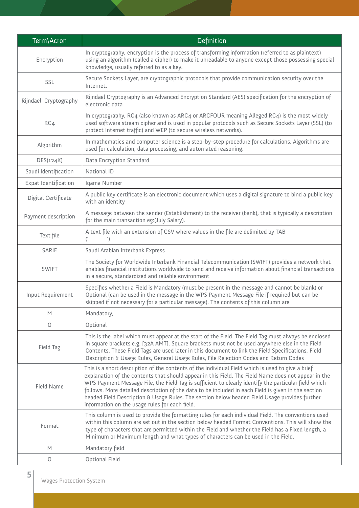| Term\Acron            | Definition                                                                                                                                                                                                                                                                                                                                                                                                                                                                                                                                                                 |
|-----------------------|----------------------------------------------------------------------------------------------------------------------------------------------------------------------------------------------------------------------------------------------------------------------------------------------------------------------------------------------------------------------------------------------------------------------------------------------------------------------------------------------------------------------------------------------------------------------------|
| Encryption            | In cryptography, encryption is the process of transforming information (referred to as plaintext)<br>using an algorithm (called a cipher) to make it unreadable to anyone except those possessing special<br>knowledge, usually referred to as a key.                                                                                                                                                                                                                                                                                                                      |
| SSL                   | Secure Sockets Layer, are cryptographic protocols that provide communication security over the<br>Internet.                                                                                                                                                                                                                                                                                                                                                                                                                                                                |
| Rijndael Cryptography | Rijndael Cryptography is an Advanced Encryption Standard (AES) specification for the encryption of<br>electronic data                                                                                                                                                                                                                                                                                                                                                                                                                                                      |
| RC4                   | In cryptography, RC4 (also known as ARC4 or ARCFOUR meaning Alleged RC4) is the most widely<br>used software stream cipher and is used in popular protocols such as Secure Sockets Layer (SSL) (to<br>protect Internet traffic) and WEP (to secure wireless networks).                                                                                                                                                                                                                                                                                                     |
| Algorithm             | In mathematics and computer science is a step-by-step procedure for calculations. Algorithms are<br>used for calculation, data processing, and automated reasoning.                                                                                                                                                                                                                                                                                                                                                                                                        |
| DES(124K)             | Data Encryption Standard                                                                                                                                                                                                                                                                                                                                                                                                                                                                                                                                                   |
| Saudi Identification  | National ID                                                                                                                                                                                                                                                                                                                                                                                                                                                                                                                                                                |
| Expat Identification  | Iqama Number                                                                                                                                                                                                                                                                                                                                                                                                                                                                                                                                                               |
| Digital Certificate   | A public key certificate is an electronic document which uses a digital signature to bind a public key<br>with an identity                                                                                                                                                                                                                                                                                                                                                                                                                                                 |
| Payment description   | A message between the sender (Establishment) to the receiver (bank), that is typically a description<br>for the main transaction eg: (July Salary).                                                                                                                                                                                                                                                                                                                                                                                                                        |
| Text file             | A text file with an extension of CSV where values in the file are delimited by TAB                                                                                                                                                                                                                                                                                                                                                                                                                                                                                         |
| SARIE                 | Saudi Arabian Interbank Express                                                                                                                                                                                                                                                                                                                                                                                                                                                                                                                                            |
| <b>SWIFT</b>          | The Society for Worldwide Interbank Financial Telecommunication (SWIFT) provides a network that<br>enables financial institutions worldwide to send and receive information about financial transactions<br>in a secure, standardized and reliable environment                                                                                                                                                                                                                                                                                                             |
| Input Requirement     | Specifies whether a Field is Mandatory (must be present in the message and cannot be blank) or<br>Optional (can be used in the message in the WPS Payment Message File if required but can be<br>skipped if not necessary for a particular message). The contents of this column are                                                                                                                                                                                                                                                                                       |
| $\mathsf{M}$          | Mandatory,                                                                                                                                                                                                                                                                                                                                                                                                                                                                                                                                                                 |
| 0                     | Optional                                                                                                                                                                                                                                                                                                                                                                                                                                                                                                                                                                   |
| Field Tag             | This is the label which must appear at the start of the Field. The Field Tag must always be enclosed<br>in square brackets e.g. [32A AMT]. Square brackets must not be used anywhere else in the Field<br>Contents. These Field Tags are used later in this document to link the Field Specifications, Field<br>Description & Usage Rules, General Usage Rules, File Rejection Codes and Return Codes                                                                                                                                                                      |
| Field Name            | This is a short description of the contents of the individual Field which is used to give a brief<br>explanation of the contents that should appear in this Field. The Field Name does not appear in the<br>WPS Payment Message File, the Field Tag is sufficient to clearly identify the particular field which<br>follows. More detailed description of the data to be included in each Field is given in the section<br>headed Field Description & Usage Rules. The section below headed Field Usage provides further<br>information on the usage rules for each field. |
| Format                | This column is used to provide the formatting rules for each individual Field. The conventions used<br>within this column are set out in the section below headed Format Conventions. This will show the<br>type of characters that are permitted within the Field and whether the Field has a Fixed length, a<br>Minimum or Maximum length and what types of characters can be used in the Field.                                                                                                                                                                         |
| M                     | Mandatory field                                                                                                                                                                                                                                                                                                                                                                                                                                                                                                                                                            |
| 0                     | Optional Field                                                                                                                                                                                                                                                                                                                                                                                                                                                                                                                                                             |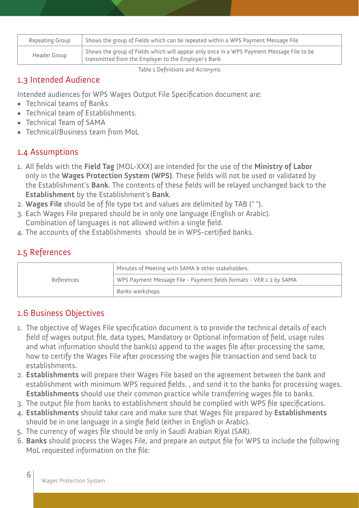| Repeating Group | Shows the group of Fields which can be repeated within a WPS Payment Message File                                                                           |
|-----------------|-------------------------------------------------------------------------------------------------------------------------------------------------------------|
| Header Group    | $^\prime$ Shows the group of Fields which will appear only once in a WPS Payment Message File to be<br>transmitted from the Employer to the Employer's Bank |

Table 1 Definitions and Acronyms

#### 1.3 Intended Audience

Intended audiences for WPS Wages Output File Specification document are:

- • Technical teams of Banks
- Technical team of Establishments.
- Technical Team of SAMA
- Technical/Business team from MoL

#### 1.4 Assumptions

- 1. All fields with the **Field Tag** [MOL-XXX] are intended for the use of the **Ministry of Labor**  only in the **Wages Protection System (WPS)**. These fields will not be used or validated by the Establishment's **Bank**. The contents of these fields will be relayed unchanged back to the **Establishment** by the Establishment's **Bank**.
- 2. **Wages File** should be of file type txt and values are delimited by TAB ("").
- 3. Each Wages File prepared should be in only one language (English or Arabic). Combination of languages is not allowed within a single field.
- 4. The accounts of the Establishments should be in WPS-certified banks.

## 1.5 References

|            | Minutes of Meeting with SAMA & other stakeholders.                  |
|------------|---------------------------------------------------------------------|
| References | WPS Payment Message File - Payment fields formats - VER 1 2 by SAMA |
|            | Banks workshops                                                     |

#### 1.6 Business Objectives

- 1. The objective of Wages File specification document is to provide the technical details of each field of wages output file, data types, Mandatory or Optional information of field, usage rules and what information should the bank(s) append to the wages file after processing the same, how to certify the Wages File after processing the wages file transaction and send back to establishments.
- 2. **Establishments** will prepare their Wages File based on the agreement between the bank and establishment with minimum WPS required fields. , and send it to the banks for processing wages. **Establishments** should use their common practice while transferring wages file to banks.
- 3. The output file from banks to establishment should be complied with WPS file specifications.
- 4. **Establishments** should take care and make sure that Wages file prepared by **Establishments** should be in one language in a single field (either in English or Arabic).
- 5. The currency of wages file should be only in Saudi Arabian Riyal (SAR).
- 6. **Banks** should process the Wages File, and prepare an output file for WPS to include the following MoL requested information on the file: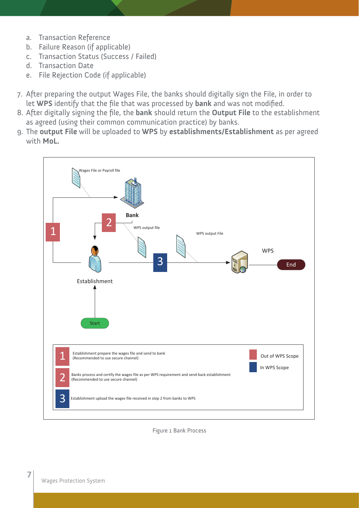- a. Transaction Reference
- b. Failure Reason (if applicable)
- c. Transaction Status (Success / Failed)
- d. Transaction Date
- e. File Rejection Code (if applicable)
- 7. After preparing the output Wages File, the banks should digitally sign the File, in order to let **WPS** identify that the file that was processed by **bank** and was not modified.
- 8. After digitally signing the file, the **bank** should return the **Output File** to the establishment as agreed (using their common communication practice) by banks.
- 9. The **output File** will be uploaded to **WPS** by **establishments/Establishment** as per agreed with **MoL.**



Figure 1 Bank Process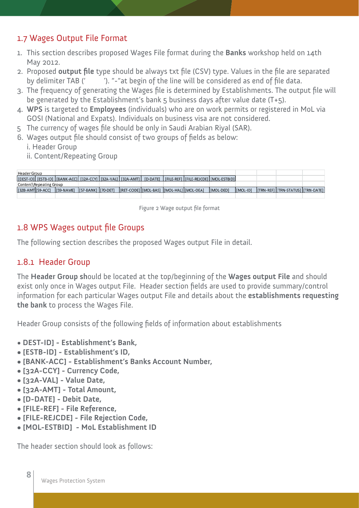#### 1.7 Wages Output File Format

- 1. This section describes proposed Wages File format during the **Banks** workshop held on 14th May 2012.
- 2. Proposed **output file** type should be always txt file (CSV) type. Values in the file are separated by delimiter TAB (' ). "-"at begin of the line will be considered as end of file data.
- 3. The frequency of generating the Wages file is determined by Establishments. The output file will be generated by the Establishment's bank 5 business days after value date (T+5).
- 4. **WPS** is targeted to **Employees** (individuals) who are on work permits or registered in MoL via GOSI (National and Expats). Individuals on business visa are not considered.
- 5 The currency of wages file should be only in Saudi Arabian Riyal (SAR).
- 6. Wages output file should consist of two groups of fields as below:
	- i. Header Group
	- ii. Content/Repeating Group

| Header Group            |                                 |  |                                            |  |                                                                                                                        |          |                                     |  |
|-------------------------|---------------------------------|--|--------------------------------------------|--|------------------------------------------------------------------------------------------------------------------------|----------|-------------------------------------|--|
|                         |                                 |  |                                            |  | [[DEST-ID]] [ESTB-ID] [[BANK-ACC]] [32A-CCY] [[32A-VAL] [[32A-AMT]   [D-DATE]  [FILE-REF] [[FILE-REJCDE] [[MOL-ESTBID] |          |                                     |  |
| Content\Repeating Group |                                 |  |                                            |  |                                                                                                                        |          |                                     |  |
| [32B-AMT][59-ACC]       | [[59-NAME] [[57-BANK] [[70-DET] |  | [RET-CODE] [MOL-BAS] [[MOL-HAL] [[MOL-OEA] |  | IMOL-DEDI                                                                                                              | [MOL-ID] | [[TRN-REF] [TRN-STATUS] [[TRN-DATE] |  |
|                         |                                 |  |                                            |  |                                                                                                                        |          |                                     |  |

Figure 2 Wage output file format

#### 1.8 WPS Wages output file Groups

The following section describes the proposed Wages output File in detail.

#### 1.8.1 Header Group

The **Header Group sh**ould be located at the top/beginning of the **Wages output File** and should exist only once in Wages output File. Header section fields are used to provide summary/control information for each particular Wages output File and details about the **establishments requesting the bank** to process the Wages File.

Header Group consists of the following fields of information about establishments

- • **DEST-ID] Establishment's Bank,**
- **[ESTB-ID] Establishment's ID,**
- **[BANK-ACC] Establishment's Banks Account Number,**
- **[32A-CCY] Currency Code,**
- **[32A-VAL] Value Date,**
- **[32A-AMT] Total Amount,**
- **[D-DATE] Debit Date,**
- **[FILE-REF] File Reference,**
- **[FILE-REJCDE] File Rejection Code,**
- **[MOL-ESTBID] MoL Establishment ID**

The header section should look as follows: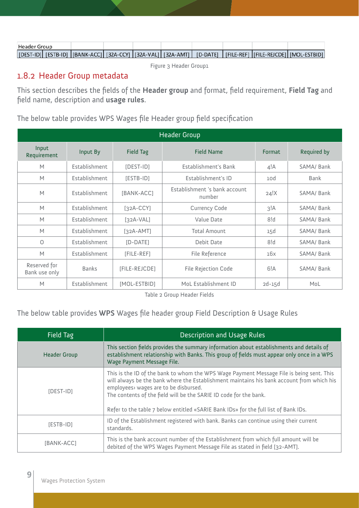| Header Group |  |  |  |  |                                                                                                                     |
|--------------|--|--|--|--|---------------------------------------------------------------------------------------------------------------------|
|              |  |  |  |  | [DEST-ID] [ESTB-ID] [[BANK-ACC] [32A-CCY] [32A-VAL] [32A-AMT] [ [D-DATE]   [FILE-REF] [[FILE-REJCDE] [MOL-ESTBID] [ |

Figure 3 Header Group1

## 1.8.2 Header Group metadata

This section describes the fields of the **Header group** and format, field requirement, **Field Tag** and field name, description and **usage rules**.

#### The below table provides WPS Wages file Header group field specification

| <b>Header Group</b>           |                                       |               |                               |             |            |  |  |  |  |
|-------------------------------|---------------------------------------|---------------|-------------------------------|-------------|------------|--|--|--|--|
| Input<br>Requirement          | Input By                              | Field Tag     | Format                        | Required by |            |  |  |  |  |
| M                             | Establishment                         | $[DEFI-ID]$   | Establishment's Bank          | 4!A         | SAMA/ Bank |  |  |  |  |
| M                             | Establishment                         | $[ESTB-ID]$   | Establishment's ID            | 10d         | Bank       |  |  |  |  |
| M                             | Establishment<br>[BANK-ACC]<br>number |               | Establishment 's bank account | 24!X        | SAMA/Bank  |  |  |  |  |
| M                             | Establishment                         | $[32A-CCY]$   | <b>Currency Code</b>          | 3!A         | SAMA/Bank  |  |  |  |  |
| M                             | Establishment                         | $[32A-VAL]$   | Value Date                    | 8!d         | SAMA/ Bank |  |  |  |  |
| M                             | Establishment                         | $[32A-AMT]$   | <b>Total Amount</b>           | 15d         | SAMA/Bank  |  |  |  |  |
| $\Omega$                      | Establishment                         | $[D-DATE]$    | Debit Date                    | 8!d         | SAMA/Bank  |  |  |  |  |
| M                             | Establishment                         | [FILE-REF]    | File Reference                | 16x         | SAMA/ Bank |  |  |  |  |
| Reserved for<br>Bank use only | <b>Banks</b>                          | [FILE-REJCDE] | <b>File Rejection Code</b>    | 6!A         | SAMA/Bank  |  |  |  |  |
| M                             | Establishment                         | [MOL-ESTBID]  | MoL Establishment ID          | $2d-15d$    | MoL        |  |  |  |  |

Table 2 Group Header Fields

#### The below table provides **WPS** Wages file header group Field Description & Usage Rules

| Field Tag           | <b>Description and Usage Rules</b>                                                                                                                                                                                                                                                                                                                                                         |
|---------------------|--------------------------------------------------------------------------------------------------------------------------------------------------------------------------------------------------------------------------------------------------------------------------------------------------------------------------------------------------------------------------------------------|
| <b>Header Group</b> | This section fields provides the summary information about establishments and details of<br>establishment relationship with Banks. This group of fields must appear only once in a WPS<br>Wage Payment Message File.                                                                                                                                                                       |
| [DEST-ID]           | This is the ID of the bank to whom the WPS Wage Payment Message File is being sent. This<br>will always be the bank where the Establishment maintains his bank account from which his<br>employees> wages are to be disbursed.<br>The contents of the field will be the SARIE ID code for the bank.<br>Refer to the table 7 below entitled «SARIE Bank IDs» for the full list of Bank IDs. |
| $[ESTB-ID]$         | ID of the Establishment registered with bank. Banks can continue using their current<br>standards.                                                                                                                                                                                                                                                                                         |
| [BANK-ACC]          | This is the bank account number of the Establishment from which full amount will be<br>debited of the WPS Wages Payment Message File as stated in field [32-AMT].                                                                                                                                                                                                                          |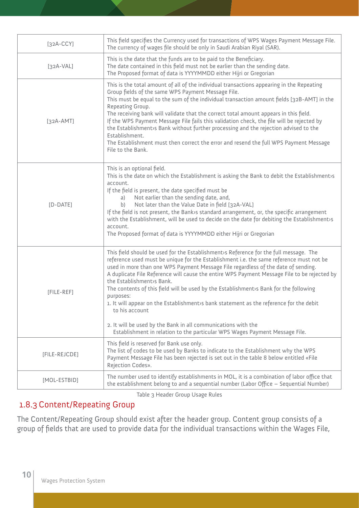| $[32A-CCY]$   | This field specifies the Currency used for transactions of WPS Wages Payment Message File.<br>The currency of wages file should be only in Saudi Arabian Riyal (SAR).                                                                                                                                                                                                                                                                                                                                                                                                                                                                                                                                                                                                |
|---------------|----------------------------------------------------------------------------------------------------------------------------------------------------------------------------------------------------------------------------------------------------------------------------------------------------------------------------------------------------------------------------------------------------------------------------------------------------------------------------------------------------------------------------------------------------------------------------------------------------------------------------------------------------------------------------------------------------------------------------------------------------------------------|
| $[32A-VAL]$   | This is the date that the funds are to be paid to the Beneficiary.<br>The date contained in this field must not be earlier than the sending date.<br>The Proposed format of data is YYYYMMDD either Hijri or Gregorian                                                                                                                                                                                                                                                                                                                                                                                                                                                                                                                                               |
| $[32A-AMT]$   | This is the total amount of all of the individual transactions appearing in the Repeating<br>Group fields of the same WPS Payment Message File.<br>This must be equal to the sum of the individual transaction amount fields [32B-AMT] in the<br>Repeating Group.<br>The receiving bank will validate that the correct total amount appears in this field.<br>If the WPS Payment Message File fails this validation check, the file will be rejected by<br>the Establishment>s Bank without further processing and the rejection advised to the<br>Establishment.<br>The Establishment must then correct the error and resend the full WPS Payment Message<br>File to the Bank.                                                                                      |
| $[D-DATE]$    | This is an optional field.<br>This is the date on which the Establishment is asking the Bank to debit the Establishment>s<br>account.<br>If the field is present, the date specified must be<br>Not earlier than the sending date, and,<br>a)<br>Not later than the Value Date in field [32A-VAL]<br>b)<br>If the field is not present, the Bank>s standard arrangement, or, the specific arrangement<br>with the Establishment, will be used to decide on the date for debiting the Establishments<br>account.<br>The Proposed format of data is YYYYMMDD either Hijri or Gregorian                                                                                                                                                                                 |
| [FILE-REF]    | This field should be used for the Establishment>s Reference for the full message. The<br>reference used must be unique for the Establishment i.e. the same reference must not be<br>used in more than one WPS Payment Message File regardless of the date of sending.<br>A duplicate File Reference will cause the entire WPS Payment Message File to be rejected by<br>the Establishment>s Bank.<br>The contents of this field will be used by the Establishment is Bank for the following<br>purposes:<br>1. It will appear on the Establishment>s bank statement as the reference for the debit<br>to his account<br>2. It will be used by the Bank in all communications with the<br>Establishment in relation to the particular WPS Wages Payment Message File. |
| [FILE-REJCDE] | This field is reserved for Bank use only.<br>The list of codes to be used by Banks to indicate to the Establishment why the WPS<br>Payment Message File has been rejected is set out in the table 8 below entitled «File<br>Rejection Codes».                                                                                                                                                                                                                                                                                                                                                                                                                                                                                                                        |
| [MOL-ESTBID]  | The number used to identify establishments in MOL, it is a combination of labor office that<br>the establishment belong to and a sequential number (Labor Office - Sequential Number)                                                                                                                                                                                                                                                                                                                                                                                                                                                                                                                                                                                |

Table 3 Header Group Usage Rules

## 1.8.3 Content/Repeating Group

The Content/Repeating Group should exist after the header group. Content group consists of a group of fields that are used to provide data for the individual transactions within the Wages File,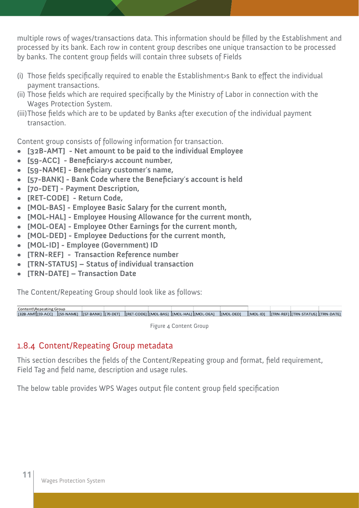multiple rows of wages/transactions data. This information should be filled by the Establishment and processed by its bank. Each row in content group describes one unique transaction to be processed by banks. The content group fields will contain three subsets of Fields

- (i) Those fields specifically required to enable the Establishment›s Bank to effect the individual payment transactions.
- (ii) Those fields which are required specifically by the Ministry of Labor in connection with the Wages Protection System.
- (iii)Those fields which are to be updated by Banks after execution of the individual payment transaction.

Content group consists of following information for transaction.

- **[32B-AMT] Net amount to be paid to the individual Employee**
- **• [59-ACC] Beneficiary›s account number,**
- **[59-NAME] Beneficiary customer**'**s name,**
- **• [57-BANK] Bank Code where the Beneficiary**'**s account is held**
- **[70-DET] Payment Description,**
- **• [RET-CODE] Return Code,**
- **• [MOL-BAS] Employee Basic Salary for the current month,**
- **• [MOL-HAL] Employee Housing Allowance for the current month,**
- **• [MOL-OEA] Employee Other Earnings for the current month,**
- **• [MOL-DED] Employee Deductions for the current month,**
- **• [MOL-ID] Employee (Government) ID**
- **• [TRN-REF] Transaction Reference number**
- **[TRN-STATUS] Status of individual transaction**
- **• [TRN-DATE] Transaction Date**

The Content/Repeating Group should look like as follows:



Figure 4 Content Group

#### 1.8.4 Content/Repeating Group metadata

This section describes the fields of the Content/Repeating group and format, field requirement, Field Tag and field name, description and usage rules.

The below table provides WPS Wages output file content group field specification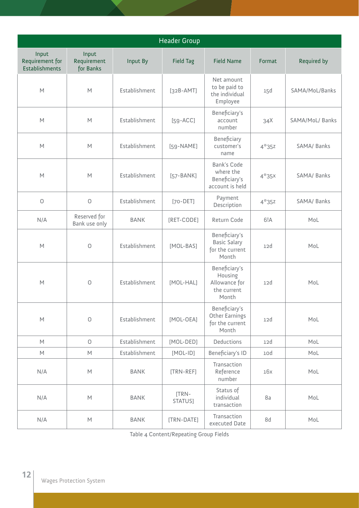| <b>Header Group</b>                                                                                        |                                                                                                            |               |                  |                                                                   |         |                 |  |  |  |  |
|------------------------------------------------------------------------------------------------------------|------------------------------------------------------------------------------------------------------------|---------------|------------------|-------------------------------------------------------------------|---------|-----------------|--|--|--|--|
| Input<br>Requirement for<br>Establishments                                                                 | Input<br>Requirement<br>for Banks                                                                          | Input By      | <b>Field Tag</b> | <b>Field Name</b>                                                 | Format  | Required by     |  |  |  |  |
| M                                                                                                          | M                                                                                                          | Establishment | $[32B-AMT]$      | Net amount<br>to be paid to<br>the individual<br>Employee         | 15d     | SAMA/MoL/Banks  |  |  |  |  |
| M                                                                                                          | M                                                                                                          | Establishment | $[59 - ACC]$     | Beneficiary's<br>account<br>number                                | 34X     | SAMA/MoL/ Banks |  |  |  |  |
| M                                                                                                          | M                                                                                                          | Establishment | $[59-NAME]$      | Beneficiary<br>customer's<br>name                                 | $4*35z$ | SAMA/ Banks     |  |  |  |  |
| M                                                                                                          | M                                                                                                          | Establishment | $[57-BANK]$      | Bank's Code<br>where the<br>Beneficiary's<br>account is held      | $4*35x$ | SAMA/ Banks     |  |  |  |  |
| $\bigcirc$                                                                                                 | $\circ$                                                                                                    | Establishment | $[70-DEF]$       | Payment<br>Description                                            | $4*35z$ | SAMA/ Banks     |  |  |  |  |
| N/A                                                                                                        | Reserved for<br>Bank use only                                                                              | <b>BANK</b>   | [RET-CODE]       | Return Code                                                       | 6!A     | MoL             |  |  |  |  |
| M                                                                                                          | $\circlearrowright$                                                                                        | Establishment | [MOL-BAS]        | Beneficiary's<br><b>Basic Salary</b><br>for the current<br>Month  | 12d     | MoL             |  |  |  |  |
| M                                                                                                          | O                                                                                                          | Establishment | [MOL-HAL]        | Beneficiary's<br>Housing<br>Allowance for<br>the current<br>Month | 12d     | MoL             |  |  |  |  |
| $\mathsf{M}$                                                                                               | $\bigcirc$                                                                                                 | Establishment | [MOL-OEA]        | Beneficiary's<br>Other Earnings<br>for the current<br>Month       | 12d     | Mol             |  |  |  |  |
| $\mathsf{M}% _{T}=\mathsf{M}_{T}\!\left( a,b\right) ,\ \mathsf{M}_{T}=\mathsf{M}_{T}\!\left( a,b\right) ,$ | $\circ$                                                                                                    | Establishment | [MOL-DED]        | Deductions                                                        | 12d     | MoL             |  |  |  |  |
| $\mathsf{M}$                                                                                               | $\mathsf{M}% _{T}=\mathsf{M}_{T}\!\left( a,b\right) ,\ \mathsf{M}_{T}=\mathsf{M}_{T}\!\left( a,b\right) ,$ | Establishment | $[MOL-ID]$       | Beneficiary's ID                                                  | 10d     | MoL             |  |  |  |  |
| N/A                                                                                                        | $\mathsf{M}% _{T}=\mathsf{M}_{T}\!\left( a,b\right) ,\ \mathsf{M}_{T}=\mathsf{M}_{T}\!\left( a,b\right) ,$ | <b>BANK</b>   | [TRN-REF]        | Transaction<br>Reference<br>number                                | 16x     | Mol             |  |  |  |  |
| N/A                                                                                                        | $\mathsf{M}% _{T}=\mathsf{M}_{T}\!\left( a,b\right) ,\ \mathsf{M}_{T}=\mathsf{M}_{T}\!\left( a,b\right) ,$ | <b>BANK</b>   | [TRN-<br>STATUS] | Status of<br>individual<br>transaction                            | 8a      | Mol             |  |  |  |  |
| N/A                                                                                                        | $\mathsf{M}% _{T}=\mathsf{M}_{T}\!\left( a,b\right) ,\ \mathsf{M}_{T}=\mathsf{M}_{T}\!\left( a,b\right) ,$ | <b>BANK</b>   | [TRN-DATE]       | Transaction<br>executed Date                                      | 8d      | MoL             |  |  |  |  |

Table 4 Content/Repeating Group Fields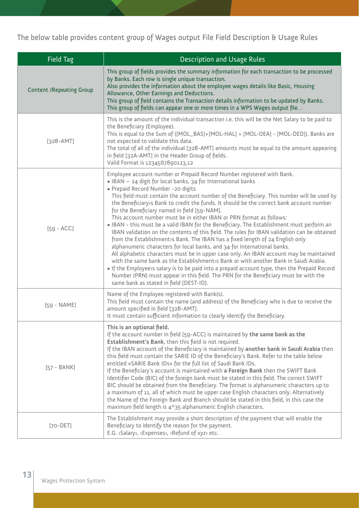The below table provides content group of Wages output File Field Description & Usage Rules

| <b>Field Tag</b>                 | <b>Description and Usage Rules</b>                                                                                                                                                                                                                                                                                                                                                                                                                                                                                                                                                                                                                                                                                                                                                                                                                                                                                                                                                                                                                                                                                                                                                                                                                                               |  |  |  |
|----------------------------------|----------------------------------------------------------------------------------------------------------------------------------------------------------------------------------------------------------------------------------------------------------------------------------------------------------------------------------------------------------------------------------------------------------------------------------------------------------------------------------------------------------------------------------------------------------------------------------------------------------------------------------------------------------------------------------------------------------------------------------------------------------------------------------------------------------------------------------------------------------------------------------------------------------------------------------------------------------------------------------------------------------------------------------------------------------------------------------------------------------------------------------------------------------------------------------------------------------------------------------------------------------------------------------|--|--|--|
| <b>Content / Repeating Group</b> | This group of fields provides the summary information for each transaction to be processed<br>by Banks. Each row is single unique transaction.<br>Also provides the information about the employee wages details like Basic, Housing<br>Allowance, Other Earnings and Deductions.<br>This group of field contains the Transaction details information to be updated by Banks.<br>This group of fields can appear one or more times in a WPS Wages output file. .                                                                                                                                                                                                                                                                                                                                                                                                                                                                                                                                                                                                                                                                                                                                                                                                                 |  |  |  |
| $[32B-AMT]$                      | This is the amount of the individual transaction i.e. this will be the Net Salary to be paid to<br>the Beneficiary (Employee).<br>This is equal to the Sum of ([MOL_BAS]+[MOL-HAL] + [MOL-OEA] - [MOL-DED]). Banks are<br>not expected to validate this data.<br>The total of all of the individual [32B-AMT] amounts must be equal to the amount appearing<br>in field [32A-AMT] in the Header Group of fields.<br>Valid Format is 1234567890123,12                                                                                                                                                                                                                                                                                                                                                                                                                                                                                                                                                                                                                                                                                                                                                                                                                             |  |  |  |
| $[59 - ACC]$                     | Employee account number or Prepaid Record Number registered with Bank.<br>• IBAN - 24 digit for local banks, 34 for International banks<br>· Prepaid Record Number -20 digits<br>This field must contain the account number of the Beneficiary. This number will be used by<br>the Beneficiary>s Bank to credit the funds. It should be the correct bank account number<br>for the Beneficiary named in field [59-NAM].<br>This account number must be in either IBAN or PRN format as follows:<br>. IBAN - this must be a valid IBAN for the Beneficiary. The Establishment must perform an<br>IBAN validation on the contents of this field. The rules for IBAN validation can be obtained<br>from the Establishment>s Bank. The IBAN has a fixed length of 24 English only<br>alphanumeric characters for local banks, and 34 for International banks.<br>All alphabetic characters must be in upper case only. An IBAN account may be maintained<br>with the same bank as the Establishment>s Bank or with another Bank in Saudi Arabia.<br>• If the Employee>s salary is to be paid into a prepaid account type, then the Prepaid Record<br>Number (PRN) must appear in this field. The PRN for the Beneficiary must be with the<br>same bank as stated in field [DEST-ID]. |  |  |  |
| [59 - NAME]                      | Name of the Employee registered with Bank(s).<br>This field must contain the name (and address) of the Beneficiary who is due to receive the<br>amount specified in field [32B-AMT].<br>It must contain sufficient information to clearly identify the Beneficiary.                                                                                                                                                                                                                                                                                                                                                                                                                                                                                                                                                                                                                                                                                                                                                                                                                                                                                                                                                                                                              |  |  |  |
| $[57 - BANK]$                    | This is an optional field.<br>If the account number in field [59-ACC] is maintained by the same bank as the<br>Establishment's Bank, then this field is not required.<br>If the IBAN account of the Beneficiary is maintained by another bank in Saudi Arabia then<br>this field must contain the SARIE ID of the Beneficiary's Bank. Refer to the table below<br>entitled «SARIE Bank IDs» for the full list of Saudi Bank IDs.<br>If the Beneficiary's account is maintained with a Foreign Bank then the SWIFT Bank<br>Identifier Code (BIC) of the foreign bank must be stated in this field. The correct SWIFT<br>BIC should be obtained from the Beneficiary. The format is alphanumeric characters up to<br>a maximum of 11, all of which must be upper case English characters only. Alternatively<br>the Name of the Foreign Bank and Branch should be stated in this field, in this case the<br>maximum field length is 4*35 alphanumeric English characters.                                                                                                                                                                                                                                                                                                          |  |  |  |
| $[70 - DET]$                     | The Establishment may provide a short description of the payment that will enable the<br>Beneficiary to identify the reason for the payment.<br>E.G. <salary>, <expenses>, <refund of="" xyz=""> etc.</refund></expenses></salary>                                                                                                                                                                                                                                                                                                                                                                                                                                                                                                                                                                                                                                                                                                                                                                                                                                                                                                                                                                                                                                               |  |  |  |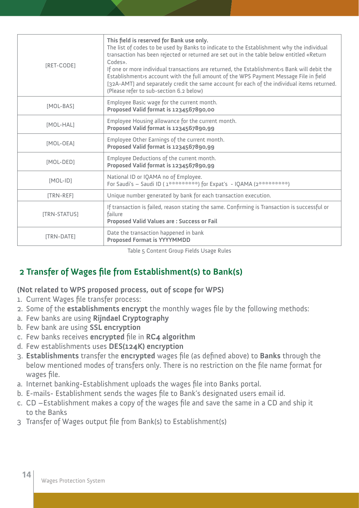| [RET-CODE]        | This field is reserved for Bank use only.<br>The list of codes to be used by Banks to indicate to the Establishment why the individual<br>transaction has been rejected or returned are set out in the table below entitled «Return<br>Codes».<br>If one or more individual transactions are returned, the Establishment>s Bank will debit the<br>Establishment>s account with the full amount of the WPS Payment Message File in field<br>[32A-AMT] and separately credit the same account for each of the individual items returned.<br>(Please refer to sub-section 6.2 below) |
|-------------------|-----------------------------------------------------------------------------------------------------------------------------------------------------------------------------------------------------------------------------------------------------------------------------------------------------------------------------------------------------------------------------------------------------------------------------------------------------------------------------------------------------------------------------------------------------------------------------------|
| [MOL-BAS]         | Employee Basic wage for the current month.<br>Proposed Valid format is 1234567890,00                                                                                                                                                                                                                                                                                                                                                                                                                                                                                              |
| [MOL-HAL]         | Employee Housing allowance for the current month.<br>Proposed Valid format is 1234567890,99                                                                                                                                                                                                                                                                                                                                                                                                                                                                                       |
| [MOL-OEA]         | Employee Other Earnings of the current month.<br>Proposed Valid format is 1234567890,99                                                                                                                                                                                                                                                                                                                                                                                                                                                                                           |
| [MOL-DED]         | Employee Deductions of the current month.<br>Proposed Valid format is 1234567890,99                                                                                                                                                                                                                                                                                                                                                                                                                                                                                               |
| $[MOL-ID]$        | National ID or IQAMA no of Employee.<br>For Saudi's - Saudi ID (1**********) for Expat's - IQAMA (2**********)                                                                                                                                                                                                                                                                                                                                                                                                                                                                    |
| [TRN-REF]         | Unique number generated by bank for each transaction execution.                                                                                                                                                                                                                                                                                                                                                                                                                                                                                                                   |
| [TRN-STATUS]      | If transaction is failed, reason stating the same. Confirming is Transaction is successful or<br>failure<br><b>Proposed Valid Values are: Success or Fail</b>                                                                                                                                                                                                                                                                                                                                                                                                                     |
| <b>ITRN-DATEI</b> | Date the transaction happened in bank<br><b>Proposed Format is YYYYMMDD</b>                                                                                                                                                                                                                                                                                                                                                                                                                                                                                                       |

Table 5 Content Group Fields Usage Rules

## **2 Transfer of Wages file from Establishment(s) to Bank(s)**

**(Not related to WPS proposed process, out of scope for WPS)** 

- 1. Current Wages file transfer process:
- 2. Some of the **establishments encrypt** the monthly wages file by the following methods:
- a. Few banks are using **Rijndael Cryptography**
- b. Few bank are using **SSL encryption**
- c. Few banks receives **encrypted** file in **RC4 algorithm**
- d. Few establishments uses **DES(124K) encryption**
- 3. **Establishments** transfer the **encrypted** wages file (as defined above) to **Banks** through the below mentioned modes of transfers only. There is no restriction on the file name format for wages file.
- a. Internet banking-Establishment uploads the wages file into Banks portal.
- b. E-mails- Establishment sends the wages file to Bank's designated users email id.
- c. CD –Establishment makes a copy of the wages file and save the same in a CD and ship it to the Banks
- 3 Transfer of Wages output file from Bank(s) to Establishment(s)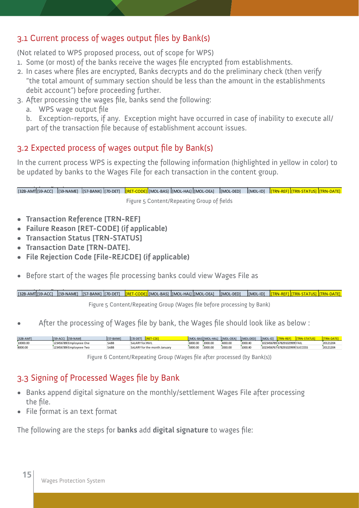#### 3.1 Current process of wages output files by Bank(s)

(Not related to WPS proposed process, out of scope for WPS)

- 1. Some (or most) of the banks receive the wages file encrypted from establishments.
- 2. In cases where files are encrypted, Banks decrypts and do the preliminary check (then verify "the total amount of summary section should be less than the amount in the establishments debit account") before proceeding further.
- 3. After processing the wages file, banks send the following:
	- a. WPS wage output file

b. Exception-reports, if any. Exception might have occurred in case of inability to execute all/ part of the transaction file because of establishment account issues.

#### 3.2 Expected process of wages output file by Bank(s)

In the current process WPS is expecting the following information (highlighted in yellow in color) to be updated by banks to the Wages File for each transaction in the content group.

[32B-AMT|[59-ACC] |[59-NAME] |[57-BANK] |[70-DET] |<mark>[RET-CODE]</mark> [MOL-BAS] |[MOL-HAL] [[MOL-OEA] |[MOL-DED] |[MOL-ID] |<mark>[TRN-REF] |[TRN-STATUS] |[TRN-DATE]</mark> Figure 5 Content/Repeating Group of fields

- **• Transaction Reference [TRN-REF]**
- **• Failure Reason [RET-CODE] (if applicable)**
- **• Transaction Status [TRN-STATUS]**
- **• Transaction Date [TRN-DATE].**
- **• File Rejection Code [File-REJCDE] (if applicable)**
- Before start of the wages file processing banks could view Wages File as

[32B-AMT|[59-ACC] |[59-NAME] |[57-BANK] |[70-DET] |<mark>[RET-CODE]</mark> [MOL-BAS] |[MOL-HAL] [[MOL-OEA] |[MOL-DED] |[MOL-ID] |<mark>[TRN-REF] |[TRN-STATUS] |[TRN-DATE]</mark>

Figure 5 Content/Repeating Group (Wages file before processing by Bank)

After the processing of Wages file by bank, the Wages file should look like as below :

| [32B-AMT] | [59-ACC] [59-NAM]       | <b>IS7-BANK</b> | II 70-DET1                   |         | [MOL-BAS][MOL-HAL] [MOL-OEA] |         | [MOL-DED] | [MOL-ID] |                                 |          |
|-----------|-------------------------|-----------------|------------------------------|---------|------------------------------|---------|-----------|----------|---------------------------------|----------|
| 10000.00  | 123456789 Employeee One | SABB            | SALARY for INVL              | 6000.00 | 2000.00                      | 4000.00 | 2000.00   |          | 1023456789 678291029999 FAIL    | 20121204 |
| 8000.00   | 123456789 Employeee Two | SABB            | SALARY for the month January | 5000.00 | 2000.00                      | 2000.00 | 1000.00   |          | 1023456767 678291029999 SUCCESS | 20121204 |

Figure 6 Content/Repeating Group (Wages file after processed (by Bank(s))

## 3.3 Signing of Processed Wages file by Bank

- Banks append digital signature on the monthly/settlement Wages File after processing the file.
- File format is an text format

The following are the steps for **banks** add **digital signature** to wages file: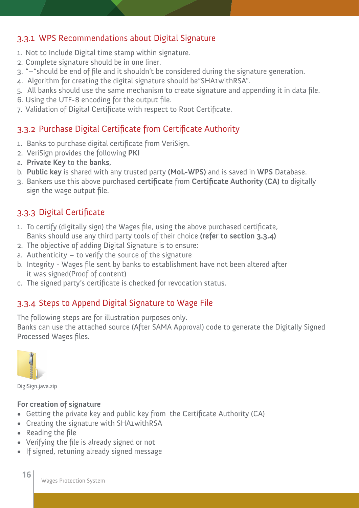#### 3.3.1 WPS Recommendations about Digital Signature

- 1. Not to Include Digital time stamp within signature.
- 2. Complete signature should be in one liner.
- 3. "–"should be end of file and it shouldn't be considered during the signature generation.
- 4. Algorithm for creating the digital signature should be"SHA1withRSA".
- 5. All banks should use the same mechanism to create signature and appending it in data file.
- 6. Using the UTF-8 encoding for the output file.
- 7. Validation of Digital Certificate with respect to Root Certificate.

#### 3.3.2 Purchase Digital Certificate from Certificate Authority

- 1. Banks to purchase digital certificate from VeriSign.
- 2. VeriSign provides the following **PKI**
- a. **Private Key** to the **banks**,
- b. **Public key** is shared with any trusted party **(MoL-WPS)** and is saved in **WPS** Database.
- 3. Bankers use this above purchased **certificate** from **Certificate Authority (CA)** to digitally sign the wage output file.

#### 3.3.3 Digital Certificate

- 1. To certify (digitally sign) the Wages file, using the above purchased certificate, Banks should use any third party tools of their choice **(refer to section 3.3.4)**
- 2. The objective of adding Digital Signature is to ensure:
- a. Authenticity to verify the source of the signature
- b. Integrity Wages file sent by banks to establishment have not been altered after it was signed(Proof of content)
- c. The signed party's certificate is checked for revocation status.

#### 3.3.4 Steps to Append Digital Signature to Wage File

The following steps are for illustration purposes only.

Banks can use the attached source (After SAMA Approval) code to generate the Digitally Signed Processed Wages files.



**16**

DigiSign.java.zip

#### **For creation of signature**

- Getting the private key and public key from the Certificate Authority (CA)
- • Creating the signature with SHA1withRSA
- • Reading the file
- • Verifying the file is already signed or not
- If signed, retuning already signed message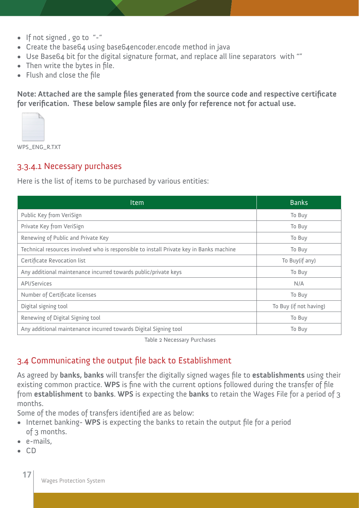- • If not signed , go to "-"
- Create the base64 using base64encoder.encode method in java
- Use Base64 bit for the digital signature format, and replace all line separators with ""
- Then write the bytes in file.
- • Flush and close the file

**Note: Attached are the sample files generated from the source code and respective certificate for verification. These below sample files are only for reference not for actual use.**



WPS\_ENG\_R.TXT

#### 3.3.4.1 Necessary purchases

Here is the list of items to be purchased by various entities:

| Item                                                                                    | <b>Banks</b>           |
|-----------------------------------------------------------------------------------------|------------------------|
| Public Key from VeriSign                                                                | To Buy                 |
| Private Key from VeriSign                                                               | To Buy                 |
| Renewing of Public and Private Key                                                      | To Buy                 |
| Technical resources involved who is responsible to install Private key in Banks machine | To Buy                 |
| Certificate Revocation list                                                             | To Buy(if any)         |
| Any additional maintenance incurred towards public/private keys                         | To Buy                 |
| <b>API/Services</b>                                                                     | N/A                    |
| Number of Certificate licenses                                                          | To Buy                 |
| Digital signing tool                                                                    | To Buy (if not having) |
| Renewing of Digital Signing tool                                                        | To Buy                 |
| Any additional maintenance incurred towards Digital Signing tool                        | To Buy                 |

Table 2 Necessary Purchases

#### 3.4 Communicating the output file back to Establishment

As agreed by **banks, banks** will transfer the digitally signed wages file to **establishments** using their existing common practice. **WPS** is fine with the current options followed during the transfer of file from **establishment** to **banks**. **WPS** is expecting the **banks** to retain the Wages File for a period of 3 months.

Some of the modes of transfers identified are as below:

- Internet banking- WPS is expecting the banks to retain the output file for a period of 3 months.
- • e-mails,
- • CD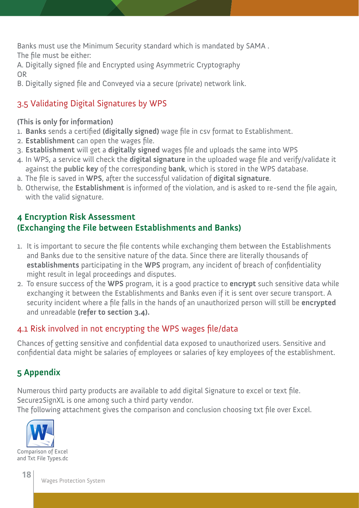Banks must use the Minimum Security standard which is mandated by SAMA . The file must be either:

A. Digitally signed file and Encrypted using Asymmetric Cryptography OR

B. Digitally signed file and Conveyed via a secure (private) network link.

## 3.5 Validating Digital Signatures by WPS

#### **(This is only for information)**

- 1. **Banks** sends a certified **(digitally signed)** wage file in csv format to Establishment.
- 2. **Establishment** can open the wages file.
- 3. **Establishment** will get a **digitally signed** wages file and uploads the same into WPS
- 4. In WPS, a service will check the **digital signature** in the uploaded wage file and verify/validate it against the **public key** of the corresponding **bank**, which is stored in the WPS database.
- a. The file is saved in **WPS**, after the successful validation of **digital signature**.
- b. Otherwise, the **Establishment** is informed of the violation, and is asked to re-send the file again, with the valid signature.

## **4 Encryption Risk Assessment (Exchanging the File between Establishments and Banks)**

- 1. It is important to secure the file contents while exchanging them between the Establishments and Banks due to the sensitive nature of the data. Since there are literally thousands of **establishments** participating in the **WPS** program, any incident of breach of confidentiality might result in legal proceedings and disputes.
- 2. To ensure success of the **WPS** program, it is a good practice to **encrypt** such sensitive data while exchanging it between the Establishments and Banks even if it is sent over secure transport. A security incident where a file falls in the hands of an unauthorized person will still be **encrypted** and unreadable **(refer to section 3.4).**

#### 4.1 Risk involved in not encrypting the WPS wages file/data

Chances of getting sensitive and confidential data exposed to unauthorized users. Sensitive and confidential data might be salaries of employees or salaries of key employees of the establishment.

## **5 Appendix**

Numerous third party products are available to add digital Signature to excel or text file. Secure2SignXL is one among such a third party vendor. The following attachment gives the comparison and conclusion choosing txt file over Excel.

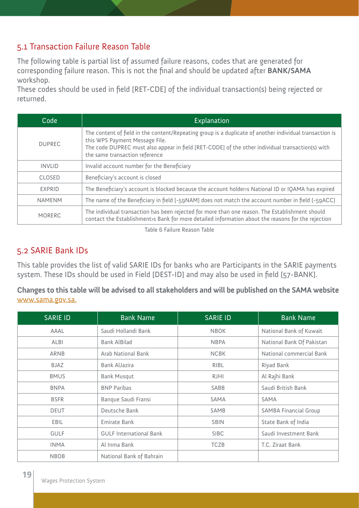#### 5.1 Transaction Failure Reason Table

The following table is partial list of assumed failure reasons, codes that are generated for corresponding failure reason. This is not the final and should be updated after **BANK/SAMA** workshop.

These codes should be used in field [RET-CDE] of the individual transaction(s) being rejected or returned.

| Code          | Explanation                                                                                                                                                                                                                                                                     |
|---------------|---------------------------------------------------------------------------------------------------------------------------------------------------------------------------------------------------------------------------------------------------------------------------------|
| <b>DUPREC</b> | The content of field in the content/Repeating group is a duplicate of another individual transaction is<br>this WPS Payment Message File.<br>The code DUPREC must also appear in field [RET-CODE] of the other individual transaction(s) with<br>the same transaction reference |
| <b>INVLID</b> | Invalid account number for the Beneficiary                                                                                                                                                                                                                                      |
| CLOSED        | Beneficiary's account is closed                                                                                                                                                                                                                                                 |
| EXPRID        | The Beneficiary's account is blocked because the account holder is National ID or IQAMA has expired                                                                                                                                                                             |
| <b>NAMENM</b> | The name of the Beneficiary in field [-59NAM] does not match the account number in field [-59ACC]                                                                                                                                                                               |
| <b>MORERC</b> | The individual transaction has been rejected for more than one reason. The Establishment should<br>contact the Establishment is Bank for more detailed information about the reasons for the rejection                                                                          |

Table 6 Failure Reason Table

#### 5.2 SARIE Bank IDs

This table provides the list of valid SARIE IDs for banks who are Participants in the SARIE payments system. These IDs should be used in Field [DEST-ID] and may also be used in field [57-BANK].

**Changes to this table will be advised to all stakeholders and will be published on the SAMA website**  www.sama.gov.sa.

| <b>SARIE ID</b> | <b>Bank Name</b>               | <b>SARIE ID</b> | <b>Bank Name</b>             |
|-----------------|--------------------------------|-----------------|------------------------------|
| AAAL            | Saudi Hollandi Bank            | <b>NBOK</b>     | National Bank of Kuwait      |
| <b>ALBI</b>     | <b>Bank AlBilad</b>            | <b>NBPA</b>     | National Bank Of Pakistan    |
| ARNB            | Arab National Bank             | <b>NCBK</b>     | National commercial Bank     |
| BJAZ            | Bank AlJazira                  | RIBL            | Riyad Bank                   |
| <b>BMUS</b>     | <b>Bank Musqut</b>             | <b>RJHI</b>     | Al Rajhi Bank                |
| <b>BNPA</b>     | <b>BNP Paribas</b>             | SABB            | Saudi British Bank           |
| <b>BSFR</b>     | Banque Saudi Fransi            | <b>SAMA</b>     | <b>SAMA</b>                  |
| <b>DEUT</b>     | Deutsche Bank                  | SAMB            | <b>SAMBA Financial Group</b> |
| EBIL            | Emirate Bank                   | <b>SBIN</b>     | State Bank of India          |
| <b>GULF</b>     | <b>GULF International Bank</b> | <b>SIBC</b>     | Saudi Investment Bank        |
| <b>INMA</b>     | Al Inma Bank                   | <b>TCZB</b>     | T.C. Ziraat Bank             |
| <b>NBOB</b>     | National Bank of Bahrain       |                 |                              |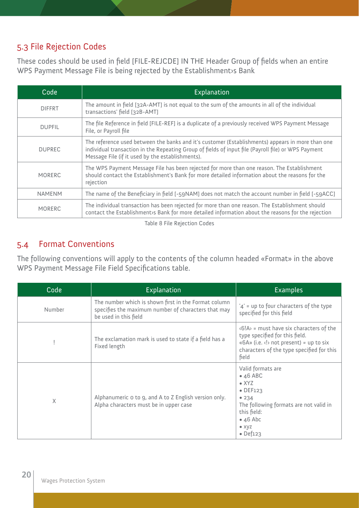#### 5.3 File Rejection Codes

These codes should be used in field [FILE-REJCDE] IN THE Header Group of fields when an entire WPS Payment Message File is being rejected by the Establishment›s Bank

| Code          | Explanation                                                                                                                                                                                                                                                 |
|---------------|-------------------------------------------------------------------------------------------------------------------------------------------------------------------------------------------------------------------------------------------------------------|
| <b>DIFFRT</b> | The amount in field [32A-AMT] is not equal to the sum of the amounts in all of the individual<br>transactions' field [32B-AMT]                                                                                                                              |
| <b>DUPFIL</b> | The file Reference in field [FILE-REF] is a duplicate of a previously received WPS Payment Message<br>File, or Payroll file                                                                                                                                 |
| <b>DUPREC</b> | The reference used between the banks and it's customer (Establishments) appears in more than one<br>individual transaction in the Repeating Group of fields of input file (Payroll file) or WPS Payment<br>Message File (if it used by the establishments). |
| <b>MORERC</b> | The WPS Payment Message File has been rejected for more than one reason. The Establishment<br>should contact the Establishment's Bank for more detailed information about the reasons for the<br>rejection                                                  |
| <b>NAMENM</b> | The name of the Beneficiary in field [-59NAM] does not match the account number in field [-59ACC]                                                                                                                                                           |
| <b>MORERC</b> | The individual transaction has been rejected for more than one reason. The Establishment should<br>contact the Establishment>s Bank for more detailed information about the reasons for the rejection                                                       |

Table 8 File Rejection Codes

#### 5.4 Format Conventions

The following conventions will apply to the contents of the column headed «Format» in the above WPS Payment Message File Field Specifications table.

| Code   | Explanation                                                                                                                          | <b>Examples</b>                                                                                                                                                                                                    |  |  |
|--------|--------------------------------------------------------------------------------------------------------------------------------------|--------------------------------------------------------------------------------------------------------------------------------------------------------------------------------------------------------------------|--|--|
| Number | The number which is shown first in the Format column<br>specifies the maximum number of characters that may<br>be used in this field | '4' = up to four characters of the type<br>specified for this field                                                                                                                                                |  |  |
|        | The exclamation mark is used to state if a field has a<br>Fixed length                                                               | $\langle 6 A \rangle$ = must have six characters of the<br>type specified for this field.<br>« $6A$ » (i.e. $\langle \cdot \rangle$ not present) = up to six<br>characters of the type specified for this<br>field |  |  |
| X      | Alphanumeric o to g, and A to Z English version only.<br>Alpha characters must be in upper case                                      | Valid formats are<br>$\bullet$ 46 ABC<br>$\bullet$ XYZ<br>$\bullet$ DEF123<br>• 234<br>The following formats are not valid in<br>this field:<br>$\bullet$ 46 Abc<br>$\bullet$ XYZ<br>$\bullet$ Def123              |  |  |